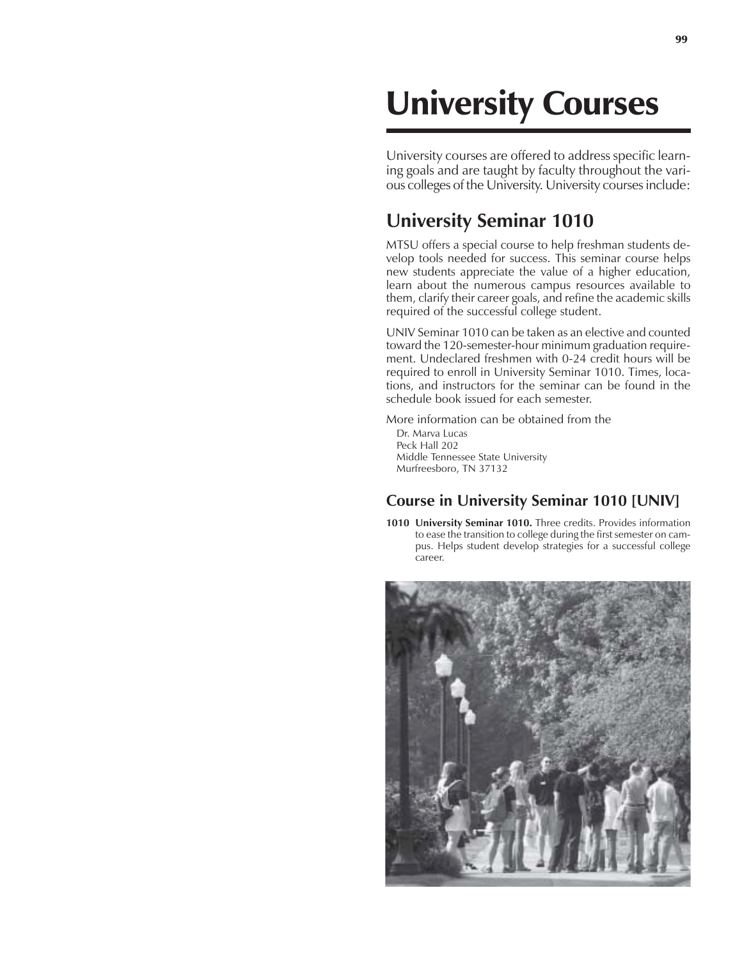# University Courses

University courses are offered to address specific learning goals and are taught by faculty throughout the various colleges of the University. University courses include:

## **University Seminar 1010**

MTSU offers a special course to help freshman students develop tools needed for success. This seminar course helps new students appreciate the value of a higher education, learn about the numerous campus resources available to them, clarify their career goals, and refine the academic skills required of the successful college student.

UNIV Seminar 1010 can be taken as an elective and counted toward the 120-semester-hour minimum graduation requirement. Undeclared freshmen with 0-24 credit hours will be required to enroll in University Seminar 1010. Times, locations, and instructors for the seminar can be found in the schedule book issued for each semester.

More information can be obtained from the

Dr. Marva Lucas Peck Hall 202 Middle Tennessee State University Murfreesboro, TN 37132

#### **Course in University Seminar 1010 [UNIV]**

**1010 University Seminar 1010.** Three credits. Provides information to ease the transition to college during the first semester on campus. Helps student develop strategies for a successful college career.